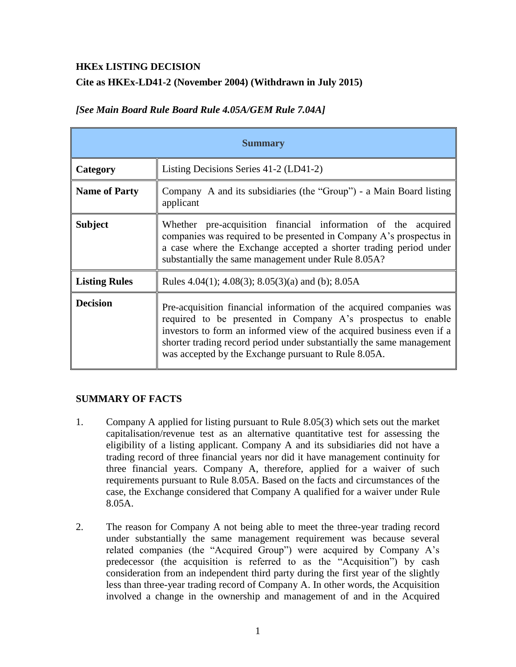#### **HKEx LISTING DECISION**

# **Cite as HKEx-LD41-2 (November 2004) (Withdrawn in July 2015)**

| <b>Summary</b>       |                                                                                                                                                                                                                                                                                                                                               |
|----------------------|-----------------------------------------------------------------------------------------------------------------------------------------------------------------------------------------------------------------------------------------------------------------------------------------------------------------------------------------------|
| Category             | Listing Decisions Series 41-2 (LD41-2)                                                                                                                                                                                                                                                                                                        |
| <b>Name of Party</b> | Company A and its subsidiaries (the "Group") - a Main Board listing<br>applicant                                                                                                                                                                                                                                                              |
| <b>Subject</b>       | Whether pre-acquisition financial information of the acquired<br>companies was required to be presented in Company A's prospectus in<br>a case where the Exchange accepted a shorter trading period under<br>substantially the same management under Rule 8.05A?                                                                              |
| <b>Listing Rules</b> | Rules 4.04(1); 4.08(3); 8.05(3)(a) and (b); 8.05A                                                                                                                                                                                                                                                                                             |
| <b>Decision</b>      | Pre-acquisition financial information of the acquired companies was<br>required to be presented in Company A's prospectus to enable<br>investors to form an informed view of the acquired business even if a<br>shorter trading record period under substantially the same management<br>was accepted by the Exchange pursuant to Rule 8.05A. |

# *[See Main Board Rule Board Rule 4.05A/GEM Rule 7.04A]*

## **SUMMARY OF FACTS**

- 1. Company A applied for listing pursuant to Rule 8.05(3) which sets out the market capitalisation/revenue test as an alternative quantitative test for assessing the eligibility of a listing applicant. Company A and its subsidiaries did not have a trading record of three financial years nor did it have management continuity for three financial years. Company A, therefore, applied for a waiver of such requirements pursuant to Rule 8.05A. Based on the facts and circumstances of the case, the Exchange considered that Company A qualified for a waiver under Rule 8.05A.
- 2. The reason for Company A not being able to meet the three-year trading record under substantially the same management requirement was because several related companies (the "Acquired Group") were acquired by Company A's predecessor (the acquisition is referred to as the "Acquisition") by cash consideration from an independent third party during the first year of the slightly less than three-year trading record of Company A. In other words, the Acquisition involved a change in the ownership and management of and in the Acquired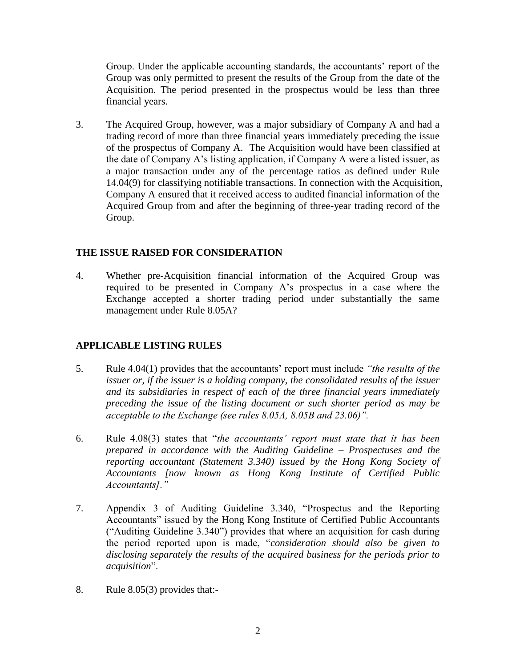Group. Under the applicable accounting standards, the accountants' report of the Group was only permitted to present the results of the Group from the date of the Acquisition. The period presented in the prospectus would be less than three financial years.

3. The Acquired Group, however, was a major subsidiary of Company A and had a trading record of more than three financial years immediately preceding the issue of the prospectus of Company A. The Acquisition would have been classified at the date of Company A's listing application, if Company A were a listed issuer, as a major transaction under any of the percentage ratios as defined under Rule 14.04(9) for classifying notifiable transactions. In connection with the Acquisition, Company A ensured that it received access to audited financial information of the Acquired Group from and after the beginning of three-year trading record of the Group.

## **THE ISSUE RAISED FOR CONSIDERATION**

4. Whether pre-Acquisition financial information of the Acquired Group was required to be presented in Company A's prospectus in a case where the Exchange accepted a shorter trading period under substantially the same management under Rule 8.05A?

## **APPLICABLE LISTING RULES**

- 5. Rule 4.04(1) provides that the accountants' report must include *"the results of the issuer or, if the issuer is a holding company, the consolidated results of the issuer and its subsidiaries in respect of each of the three financial years immediately preceding the issue of the listing document or such shorter period as may be acceptable to the Exchange (see rules 8.05A, 8.05B and 23.06)".*
- 6. Rule 4.08(3) states that "*the accountants' report must state that it has been prepared in accordance with the Auditing Guideline – Prospectuses and the reporting accountant (Statement 3.340) issued by the Hong Kong Society of Accountants [now known as Hong Kong Institute of Certified Public Accountants]."*
- 7. Appendix 3 of Auditing Guideline 3.340, "Prospectus and the Reporting Accountants" issued by the Hong Kong Institute of Certified Public Accountants ("Auditing Guideline 3.340") provides that where an acquisition for cash during the period reported upon is made, "*consideration should also be given to disclosing separately the results of the acquired business for the periods prior to acquisition*".
- 8. Rule 8.05(3) provides that:-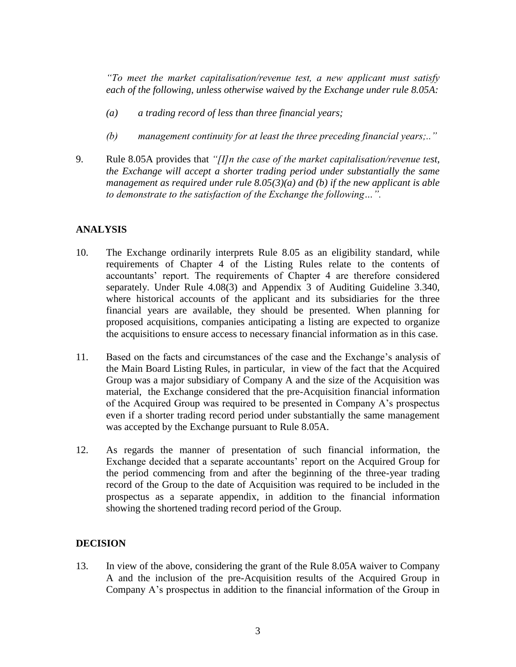*"To meet the market capitalisation/revenue test, a new applicant must satisfy each of the following, unless otherwise waived by the Exchange under rule 8.05A:*

- *(a) a trading record of less than three financial years;*
- *(b) management continuity for at least the three preceding financial years;.."*
- 9. Rule 8.05A provides that *"[I]n the case of the market capitalisation/revenue test, the Exchange will accept a shorter trading period under substantially the same management as required under rule 8.05(3)(a) and (b) if the new applicant is able to demonstrate to the satisfaction of the Exchange the following…".*

#### **ANALYSIS**

- 10. The Exchange ordinarily interprets Rule 8.05 as an eligibility standard, while requirements of Chapter 4 of the Listing Rules relate to the contents of accountants' report. The requirements of Chapter 4 are therefore considered separately. Under Rule 4.08(3) and Appendix 3 of Auditing Guideline 3.340, where historical accounts of the applicant and its subsidiaries for the three financial years are available, they should be presented. When planning for proposed acquisitions, companies anticipating a listing are expected to organize the acquisitions to ensure access to necessary financial information as in this case.
- 11. Based on the facts and circumstances of the case and the Exchange's analysis of the Main Board Listing Rules, in particular, in view of the fact that the Acquired Group was a major subsidiary of Company A and the size of the Acquisition was material, the Exchange considered that the pre-Acquisition financial information of the Acquired Group was required to be presented in Company A's prospectus even if a shorter trading record period under substantially the same management was accepted by the Exchange pursuant to Rule 8.05A.
- 12. As regards the manner of presentation of such financial information, the Exchange decided that a separate accountants' report on the Acquired Group for the period commencing from and after the beginning of the three-year trading record of the Group to the date of Acquisition was required to be included in the prospectus as a separate appendix, in addition to the financial information showing the shortened trading record period of the Group.

## **DECISION**

13. In view of the above, considering the grant of the Rule 8.05A waiver to Company A and the inclusion of the pre-Acquisition results of the Acquired Group in Company A's prospectus in addition to the financial information of the Group in